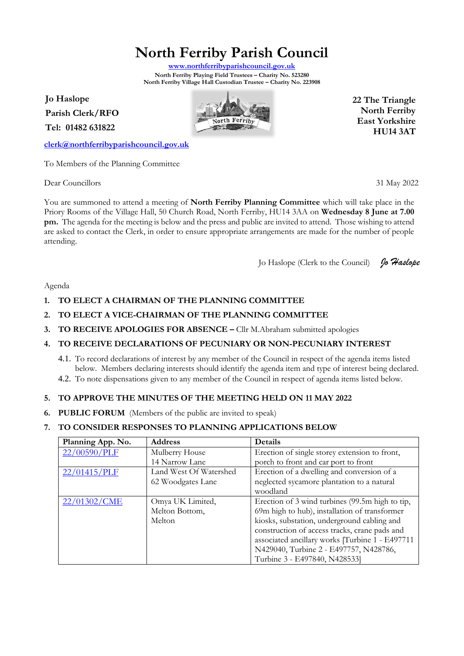# **North Ferriby Parish Council**

**[www.northferribyparishcouncil.gov.uk](http://www.northferribyparishcouncil.gov.uk/) North Ferriby Playing Field Trustees – Charity No. 523280 North Ferriby Village Hall Custodian Trustee – Charity No. 223908** 

**Jo Haslope Parish Clerk/RFO**

**Tel: 01482 631822**

**[clerk@northferribyparishcouncil.gov.uk](mailto:clerk@northferribyparishcouncil.gov.uk)**

To Members of the Planning Committee

Dear Councillors 31 May 2022

You are summoned to attend a meeting of **North Ferriby Planning Committee** which will take place in the Priory Rooms of the Village Hall, 50 Church Road, North Ferriby, HU14 3AA on **Wednesday 8 June at 7.00 pm.** The agenda for the meeting is below and the press and public are invited to attend. Those wishing to attend are asked to contact the Clerk, in order to ensure appropriate arrangements are made for the number of people attending.

Jo Haslope (Clerk to the Council) *Jo Haslope*

Agenda

- **1. TO ELECT A CHAIRMAN OF THE PLANNING COMMITTEE**
- **2. TO ELECT A VICE-CHAIRMAN OF THE PLANNING COMMITTEE**
- **3. TO RECEIVE APOLOGIES FOR ABSENCE –** Cllr M.Abraham submitted apologies

### **4. TO RECEIVE DECLARATIONS OF PECUNIARY OR NON-PECUNIARY INTEREST**

- 4.1. To record declarations of interest by any member of the Council in respect of the agenda items listed below. Members declaring interests should identify the agenda item and type of interest being declared.
- 4.2. To note dispensations given to any member of the Council in respect of agenda items listed below.

## **5. TO APPROVE THE MINUTES OF THE MEETING HELD ON 11 MAY 2022**

**6. PUBLIC FORUM** (Members of the public are invited to speak)

## **7. TO CONSIDER RESPONSES TO PLANNING APPLICATIONS BELOW**

| Planning App. No. | <b>Address</b>         | <b>Details</b>                                  |
|-------------------|------------------------|-------------------------------------------------|
| 22/00590/PLF      | Mulberry House         | Erection of single storey extension to front,   |
|                   | 14 Narrow Lane         | porch to front and car port to front            |
| 22/01415/PLF      | Land West Of Watershed | Erection of a dwelling and conversion of a      |
|                   | 62 Woodgates Lane      | neglected sycamore plantation to a natural      |
|                   |                        | woodland                                        |
| 22/01302/CME      | Omya UK Limited,       | Erection of 3 wind turbines (99.5m high to tip, |
|                   | Melton Bottom,         | 69m high to hub), installation of transformer   |
|                   | Melton                 | kiosks, substation, underground cabling and     |
|                   |                        | construction of access tracks, crane pads and   |
|                   |                        | associated ancillary works [Turbine 1 - E497711 |
|                   |                        | N429040, Turbine 2 - E497757, N428786,          |
|                   |                        | Turbine 3 - E497840, N428533]                   |



**22 The Triangle North Ferriby East Yorkshire HU14 3AT**